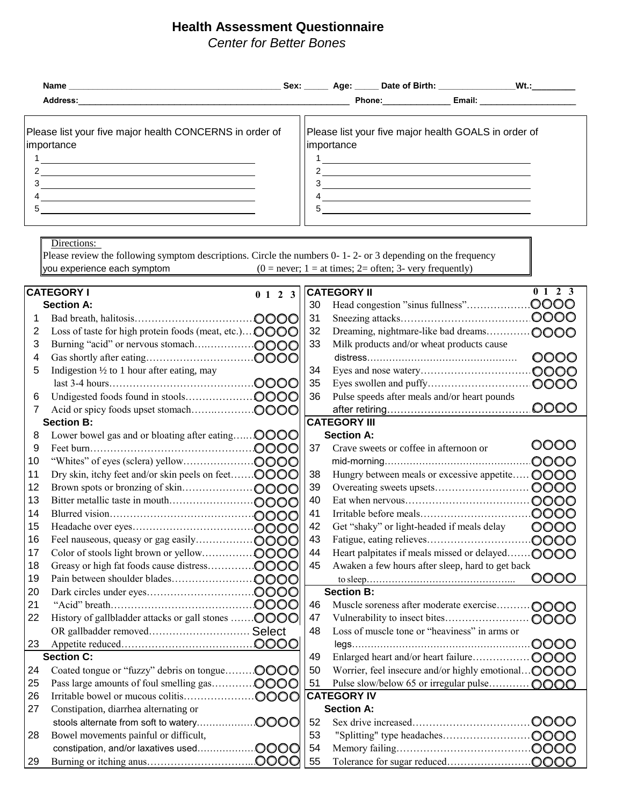## **Health Assessment Questionnaire**

*Center for Better Bones*

| Please list your five major health CONCERNS in order of<br>importance<br>the control of the control of the control of the control of the control of the control of the control of the control of the control of the control of the control of the control of the control of the control of the control<br>5 | importance<br>5    | Please list your five major health GOALS in order of<br><u> 1989 - Johann Barnett, fransk politiker (d. 1989)</u><br><u> The Communication of the Communication of the Communication of the Communication of the Communication of the Co</u> |                                         |
|-------------------------------------------------------------------------------------------------------------------------------------------------------------------------------------------------------------------------------------------------------------------------------------------------------------|--------------------|----------------------------------------------------------------------------------------------------------------------------------------------------------------------------------------------------------------------------------------------|-----------------------------------------|
| Directions:<br>Please review the following symptom descriptions. Circle the numbers 0-1-2- or 3 depending on the frequency<br>you experience each symptom $(0 = never; 1 = at times; 2 = often; 3 - very frequently)$                                                                                       |                    |                                                                                                                                                                                                                                              |                                         |
| <b>CATEGORY I</b><br>0 1 2 3<br><b>Section A:</b><br>റററി                                                                                                                                                                                                                                                   | <b>CATEGORY II</b> | 30 Head congestion "sinus fullness"                                                                                                                                                                                                          | 2 3<br>0 <sub>1</sub><br>.OOOO<br>.0000 |

| Loss of taste for high protein foods (meat, etc.) <b>OOOO</b><br>32<br>Dreaming, nightmare-like bad dreams<br>$\cdots$ OOO<br>33<br>Burning "acid" or nervous stomach<br>.0000<br>Milk products and/or wheat products cause<br>0000<br>.0000<br>34<br>Indigestion $\frac{1}{2}$ to 1 hour after eating, may<br>35<br>36<br>Pulse speeds after meals and/or heart pounds<br><b>CATEGORY III</b><br><b>Section B:</b><br>.0000<br>Lower bowel gas and or bloating after eating<br><b>Section A:</b><br>0000<br>37<br>Crave sweets or coffee in afternoon or<br>.0000<br>10<br>Hungry between meals or excessive appetite OOOO<br>Dry skin, itchy feet and/or skin peels on feet OOOO<br>38<br>11<br>39<br>12<br>40<br>13<br>41<br>14<br>42<br>0000<br>Get "shaky" or light-headed if meals delay<br>15<br>43<br>16<br>44<br>Heart palpitates if meals missed or delayed OOOO<br>17<br>45<br>Awaken a few hours after sleep, hard to get back<br>18<br>0000<br>19<br><b>Section B:</b><br>20<br>46<br>Muscle soreness after moderate exercise OOOO<br>21<br>History of gallbladder attacks or gall stones  OOOO<br>47<br>22<br>0000<br>Loss of muscle tone or "heaviness" in arms or<br>OR gallbadder removed Select<br>48<br>23<br><b>Section C:</b><br>49<br>0000<br>50<br>Coated tongue or "fuzzy" debris on tongue<br>Worrier, feel insecure and/or highly emotional OOOO<br>24<br>51<br>Pulse slow/below 65 or irregular pulse<br>25<br>0000<br><b>CATEGORY IV</b><br>26<br>Constipation, diarrhea alternating or<br><b>Section A:</b><br>27<br>52<br>53<br>Bowel movements painful or difficult,<br>28<br>54 |    | 0000 | 31 | .0000 |
|-----------------------------------------------------------------------------------------------------------------------------------------------------------------------------------------------------------------------------------------------------------------------------------------------------------------------------------------------------------------------------------------------------------------------------------------------------------------------------------------------------------------------------------------------------------------------------------------------------------------------------------------------------------------------------------------------------------------------------------------------------------------------------------------------------------------------------------------------------------------------------------------------------------------------------------------------------------------------------------------------------------------------------------------------------------------------------------------------------------------------------------------------------------------------------------------------------------------------------------------------------------------------------------------------------------------------------------------------------------------------------------------------------------------------------------------------------------------------------------------------------------------------------------------------------------------------------------------------------------------|----|------|----|-------|
|                                                                                                                                                                                                                                                                                                                                                                                                                                                                                                                                                                                                                                                                                                                                                                                                                                                                                                                                                                                                                                                                                                                                                                                                                                                                                                                                                                                                                                                                                                                                                                                                                 |    |      |    |       |
|                                                                                                                                                                                                                                                                                                                                                                                                                                                                                                                                                                                                                                                                                                                                                                                                                                                                                                                                                                                                                                                                                                                                                                                                                                                                                                                                                                                                                                                                                                                                                                                                                 |    |      |    |       |
|                                                                                                                                                                                                                                                                                                                                                                                                                                                                                                                                                                                                                                                                                                                                                                                                                                                                                                                                                                                                                                                                                                                                                                                                                                                                                                                                                                                                                                                                                                                                                                                                                 |    |      |    |       |
|                                                                                                                                                                                                                                                                                                                                                                                                                                                                                                                                                                                                                                                                                                                                                                                                                                                                                                                                                                                                                                                                                                                                                                                                                                                                                                                                                                                                                                                                                                                                                                                                                 |    |      |    |       |
|                                                                                                                                                                                                                                                                                                                                                                                                                                                                                                                                                                                                                                                                                                                                                                                                                                                                                                                                                                                                                                                                                                                                                                                                                                                                                                                                                                                                                                                                                                                                                                                                                 |    |      |    |       |
|                                                                                                                                                                                                                                                                                                                                                                                                                                                                                                                                                                                                                                                                                                                                                                                                                                                                                                                                                                                                                                                                                                                                                                                                                                                                                                                                                                                                                                                                                                                                                                                                                 |    |      |    |       |
|                                                                                                                                                                                                                                                                                                                                                                                                                                                                                                                                                                                                                                                                                                                                                                                                                                                                                                                                                                                                                                                                                                                                                                                                                                                                                                                                                                                                                                                                                                                                                                                                                 |    |      |    |       |
|                                                                                                                                                                                                                                                                                                                                                                                                                                                                                                                                                                                                                                                                                                                                                                                                                                                                                                                                                                                                                                                                                                                                                                                                                                                                                                                                                                                                                                                                                                                                                                                                                 |    |      |    |       |
|                                                                                                                                                                                                                                                                                                                                                                                                                                                                                                                                                                                                                                                                                                                                                                                                                                                                                                                                                                                                                                                                                                                                                                                                                                                                                                                                                                                                                                                                                                                                                                                                                 |    |      |    |       |
|                                                                                                                                                                                                                                                                                                                                                                                                                                                                                                                                                                                                                                                                                                                                                                                                                                                                                                                                                                                                                                                                                                                                                                                                                                                                                                                                                                                                                                                                                                                                                                                                                 |    |      |    |       |
|                                                                                                                                                                                                                                                                                                                                                                                                                                                                                                                                                                                                                                                                                                                                                                                                                                                                                                                                                                                                                                                                                                                                                                                                                                                                                                                                                                                                                                                                                                                                                                                                                 |    |      |    |       |
|                                                                                                                                                                                                                                                                                                                                                                                                                                                                                                                                                                                                                                                                                                                                                                                                                                                                                                                                                                                                                                                                                                                                                                                                                                                                                                                                                                                                                                                                                                                                                                                                                 |    |      |    |       |
|                                                                                                                                                                                                                                                                                                                                                                                                                                                                                                                                                                                                                                                                                                                                                                                                                                                                                                                                                                                                                                                                                                                                                                                                                                                                                                                                                                                                                                                                                                                                                                                                                 |    |      |    |       |
|                                                                                                                                                                                                                                                                                                                                                                                                                                                                                                                                                                                                                                                                                                                                                                                                                                                                                                                                                                                                                                                                                                                                                                                                                                                                                                                                                                                                                                                                                                                                                                                                                 |    |      |    |       |
|                                                                                                                                                                                                                                                                                                                                                                                                                                                                                                                                                                                                                                                                                                                                                                                                                                                                                                                                                                                                                                                                                                                                                                                                                                                                                                                                                                                                                                                                                                                                                                                                                 |    |      |    |       |
|                                                                                                                                                                                                                                                                                                                                                                                                                                                                                                                                                                                                                                                                                                                                                                                                                                                                                                                                                                                                                                                                                                                                                                                                                                                                                                                                                                                                                                                                                                                                                                                                                 |    |      |    |       |
|                                                                                                                                                                                                                                                                                                                                                                                                                                                                                                                                                                                                                                                                                                                                                                                                                                                                                                                                                                                                                                                                                                                                                                                                                                                                                                                                                                                                                                                                                                                                                                                                                 |    |      |    |       |
|                                                                                                                                                                                                                                                                                                                                                                                                                                                                                                                                                                                                                                                                                                                                                                                                                                                                                                                                                                                                                                                                                                                                                                                                                                                                                                                                                                                                                                                                                                                                                                                                                 |    |      |    |       |
|                                                                                                                                                                                                                                                                                                                                                                                                                                                                                                                                                                                                                                                                                                                                                                                                                                                                                                                                                                                                                                                                                                                                                                                                                                                                                                                                                                                                                                                                                                                                                                                                                 |    |      |    |       |
|                                                                                                                                                                                                                                                                                                                                                                                                                                                                                                                                                                                                                                                                                                                                                                                                                                                                                                                                                                                                                                                                                                                                                                                                                                                                                                                                                                                                                                                                                                                                                                                                                 |    |      |    |       |
|                                                                                                                                                                                                                                                                                                                                                                                                                                                                                                                                                                                                                                                                                                                                                                                                                                                                                                                                                                                                                                                                                                                                                                                                                                                                                                                                                                                                                                                                                                                                                                                                                 |    |      |    |       |
|                                                                                                                                                                                                                                                                                                                                                                                                                                                                                                                                                                                                                                                                                                                                                                                                                                                                                                                                                                                                                                                                                                                                                                                                                                                                                                                                                                                                                                                                                                                                                                                                                 |    |      |    |       |
|                                                                                                                                                                                                                                                                                                                                                                                                                                                                                                                                                                                                                                                                                                                                                                                                                                                                                                                                                                                                                                                                                                                                                                                                                                                                                                                                                                                                                                                                                                                                                                                                                 |    |      |    |       |
|                                                                                                                                                                                                                                                                                                                                                                                                                                                                                                                                                                                                                                                                                                                                                                                                                                                                                                                                                                                                                                                                                                                                                                                                                                                                                                                                                                                                                                                                                                                                                                                                                 |    |      |    |       |
|                                                                                                                                                                                                                                                                                                                                                                                                                                                                                                                                                                                                                                                                                                                                                                                                                                                                                                                                                                                                                                                                                                                                                                                                                                                                                                                                                                                                                                                                                                                                                                                                                 |    |      |    |       |
|                                                                                                                                                                                                                                                                                                                                                                                                                                                                                                                                                                                                                                                                                                                                                                                                                                                                                                                                                                                                                                                                                                                                                                                                                                                                                                                                                                                                                                                                                                                                                                                                                 |    |      |    |       |
|                                                                                                                                                                                                                                                                                                                                                                                                                                                                                                                                                                                                                                                                                                                                                                                                                                                                                                                                                                                                                                                                                                                                                                                                                                                                                                                                                                                                                                                                                                                                                                                                                 |    |      |    |       |
|                                                                                                                                                                                                                                                                                                                                                                                                                                                                                                                                                                                                                                                                                                                                                                                                                                                                                                                                                                                                                                                                                                                                                                                                                                                                                                                                                                                                                                                                                                                                                                                                                 |    |      |    |       |
|                                                                                                                                                                                                                                                                                                                                                                                                                                                                                                                                                                                                                                                                                                                                                                                                                                                                                                                                                                                                                                                                                                                                                                                                                                                                                                                                                                                                                                                                                                                                                                                                                 |    |      |    |       |
|                                                                                                                                                                                                                                                                                                                                                                                                                                                                                                                                                                                                                                                                                                                                                                                                                                                                                                                                                                                                                                                                                                                                                                                                                                                                                                                                                                                                                                                                                                                                                                                                                 |    |      |    |       |
|                                                                                                                                                                                                                                                                                                                                                                                                                                                                                                                                                                                                                                                                                                                                                                                                                                                                                                                                                                                                                                                                                                                                                                                                                                                                                                                                                                                                                                                                                                                                                                                                                 |    |      |    |       |
|                                                                                                                                                                                                                                                                                                                                                                                                                                                                                                                                                                                                                                                                                                                                                                                                                                                                                                                                                                                                                                                                                                                                                                                                                                                                                                                                                                                                                                                                                                                                                                                                                 |    |      |    |       |
|                                                                                                                                                                                                                                                                                                                                                                                                                                                                                                                                                                                                                                                                                                                                                                                                                                                                                                                                                                                                                                                                                                                                                                                                                                                                                                                                                                                                                                                                                                                                                                                                                 |    |      |    |       |
|                                                                                                                                                                                                                                                                                                                                                                                                                                                                                                                                                                                                                                                                                                                                                                                                                                                                                                                                                                                                                                                                                                                                                                                                                                                                                                                                                                                                                                                                                                                                                                                                                 | 29 |      | 55 |       |